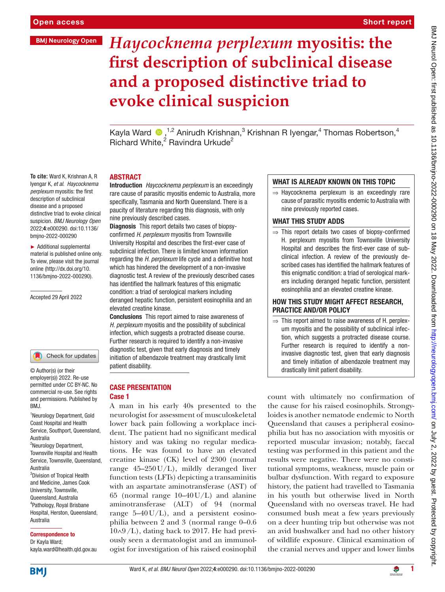# **BMJ Neurology Open**

**To cite:** Ward K, Krishnan A, R Iyengar K*, et al*. *Haycocknema perplexum* myositis: the first description of subclinical disease and a proposed distinctive triad to evoke clinical suspicion. *BMJ Neurology Open* 2022;4:e000290. doi:10.1136/ bmjno-2022-000290 ► Additional supplemental material is published online only. To view, please visit the journal online [\(http://dx.doi.org/10.](http://dx.doi.org/10.1136/bmjno-2022-000290) [1136/bmjno-2022-000290](http://dx.doi.org/10.1136/bmjno-2022-000290)).

Short report

# *Haycocknema perplexum* **myositis: the first description of subclinical disease and a proposed distinctive triad to evoke clinical suspicion**

Kayla Ward  $\bigcirc$ ,<sup>1,2</sup> Anirudh Krishnan,<sup>3</sup> Krishnan R Iyengar,<sup>4</sup> Thomas Robertson,<sup>4</sup> Richard White,<sup>2</sup> Ravindra Urkude<sup>2</sup>

# **ABSTRACT**

Introduction *Haycocknema perplexum* is an exceedingly rare cause of parasitic myositis endemic to Australia, more specifically, Tasmania and North Queensland. There is a paucity of literature regarding this diagnosis, with only nine previously described cases.

Diagnosis This report details two cases of biopsyconfirmed *H. perplexum* myositis from Townsville University Hospital and describes the first-ever case of subclinical infection. There is limited known information regarding the *H. perplexum* life cycle and a definitive host which has hindered the development of a non-invasive diagnostic test. A review of the previously described cases has identified the hallmark features of this enigmatic condition: a triad of serological markers including deranged hepatic function, persistent eosinophilia and an elevated creatine kinase.

Conclusions This report aimed to raise awareness of *H. perplexum* myositis and the possibility of subclinical infection, which suggests a protracted disease course. Further research is required to identify a non-invasive diagnostic test, given that early diagnosis and timely initiation of albendazole treatment may drastically limit patient disability.

## CASE PRESENTATION Case 1

A man in his early 40s presented to the neurologist for assessment of musculoskeletal lower back pain following a workplace incident. The patient had no significant medical history and was taking no regular medications. He was found to have an elevated creatine kinase (CK) level of 2300 (normal range 45–250U/L), mildly deranged liver function tests (LFTs) depicting a transaminitis with an aspartate aminotransferase (AST) of 65 (normal range  $10-40$  U/L) and alanine aminotransferase (ALT) of 94 (normal range  $5-40 \text{ U/L}$ , and a persistent eosinophilia between 2 and 3 (normal range 0–0.6 10∧9/L), dating back to 2017. He had previously seen a dermatologist and an immunologist for investigation of his raised eosinophil

# WHAT IS ALREADY KNOWN ON THIS TOPIC

⇒ Haycocknema perplexum is an exceedingly rare cause of parasitic myositis endemic to Australia with nine previously reported cases.

## WHAT THIS STUDY ADDS

⇒ This report details two cases of biopsy-confirmed H. perplexum myositis from Townsville University Hospital and describes the first-ever case of subclinical infection. A review of the previously described cases has identified the hallmark features of this enigmatic condition: a triad of serological markers including deranged hepatic function, persistent eosinophilia and an elevated creatine kinase.

## HOW THIS STUDY MIGHT AFFECT RESEARCH, PRACTICE AND/OR POLICY

 $\Rightarrow$  This report aimed to raise awareness of H. perplexum myositis and the possibility of subclinical infection, which suggests a protracted disease course. Further research is required to identify a noninvasive diagnostic test, given that early diagnosis and timely initiation of albendazole treatment may drastically limit patient disability.

count with ultimately no confirmation of the cause for his raised eosinophils. Strongyloides is another nematode endemic to North Queensland that causes a peripheral eosinophilia but has no association with myositis or reported muscular invasion; notably, faecal testing was performed in this patient and the results were negative. There were no constitutional symptoms, weakness, muscle pain or bulbar dysfunction. With regard to exposure history, the patient had travelled to Tasmania in his youth but otherwise lived in North Queensland with no overseas travel. He had consumed bush meat a few years previously on a deer hunting trip but otherwise was not an avid bushwalker and had no other history of wildlife exposure. Clinical examination of the cranial nerves and upper and lower limbs

1 Neurology Department, Gold

BMJ.

© Author(s) (or their employer(s)) 2022. Re-use permitted under CC BY-NC. No commercial re-use. See rights and permissions. Published by

Accepted 29 April 2022

Coast Hospital and Health Service, Southport, Queensland, Australia

Check for updates

<sup>2</sup>Neurology Department, Townsville Hospital and Health Service, Townsville, Queensland, Australia <sup>3</sup>Division of Tropical Health

and Medicine, James Cook University, Townsville, Queensland, Australia 4 Pathology, Royal Brisbane Hospital, Herston, Queensland, Australia

#### Correspondence to

Dr Kayla Ward; kayla.ward@health.qld.gov.au



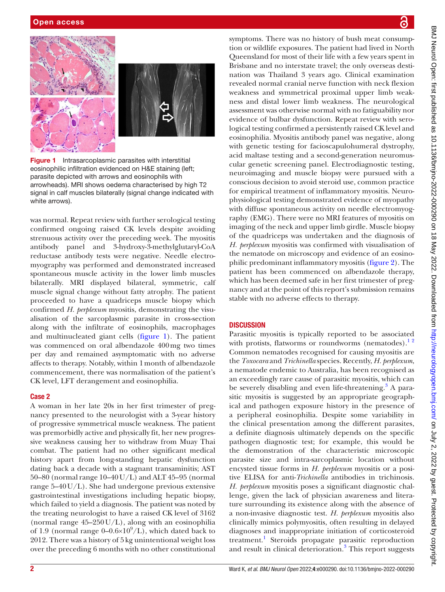

Figure 1 Intrasarcoplasmic parasites with interstitial eosinophilic infiltration evidenced on H&E staining (left; parasite depicted with arrows and eosinophils with arrowheads). MRI shows oedema characterised by high T2 signal in calf muscles bilaterally (signal change indicated with white arrows).

<span id="page-1-0"></span>was normal. Repeat review with further serological testing confirmed ongoing raised CK levels despite avoiding strenuous activity over the preceding week. The myositis antibody panel and 3-hydroxy-3-methylglutaryl-CoA reductase antibody tests were negative. Needle electromyography was performed and demonstrated increased spontaneous muscle activity in the lower limb muscles bilaterally. MRI displayed bilateral, symmetric, calf muscle signal change without fatty atrophy. The patient proceeded to have a quadriceps muscle biopsy which confirmed *H. perplexum* myositis, demonstrating the visualisation of the sarcoplasmic parasite in cross-section along with the infiltrate of eosinophils, macrophages and multinucleated giant cells ([figure](#page-1-0) 1). The patient was commenced on oral albendazole 400mg two times per day and remained asymptomatic with no adverse affects to therapy. Notably, within 1month of albendazole commencement, there was normalisation of the patient's CK level, LFT derangement and eosinophilia.

## Case 2

A woman in her late 20s in her first trimester of pregnancy presented to the neurologist with a 3-year history of progressive symmetrical muscle weakness. The patient was premorbidly active and physically fit, her new progressive weakness causing her to withdraw from Muay Thai combat. The patient had no other significant medical history apart from long-standing hepatic dysfunction dating back a decade with a stagnant transaminitis; AST 50–80 (normal range 10–40U/L) and ALT 45–95 (normal range 5–40U/L). She had undergone previous extensive gastrointestinal investigations including hepatic biopsy, which failed to yield a diagnosis. The patient was noted by the treating neurologist to have a raised CK level of 3162 (normal range  $45-250$  U/L), along with an eosinophilia of 1.9 (normal range  $0-0.6\times10^{9}/L$ ), which dated back to 2012. There was a history of 5kg unintentional weight loss over the preceding 6 months with no other constitutional

tion or wildlife exposures. The patient had lived in North Queensland for most of their life with a few years spent in Brisbane and no interstate travel; the only overseas destination was Thailand 3 years ago. Clinical examination revealed normal cranial nerve function with neck flexion weakness and symmetrical proximal upper limb weakness and distal lower limb weakness. The neurological assessment was otherwise normal with no fatiguability nor evidence of bulbar dysfunction. Repeat review with serological testing confirmed a persistently raised CK level and eosinophilia. Myositis antibody panel was negative, along with genetic testing for facioscapulohumeral dystrophy, acid maltase testing and a second-generation neuromuscular genetic screening panel. Electrodiagnostic testing, neuroimaging and muscle biopsy were pursued with a conscious decision to avoid steroid use, common practice for empirical treatment of inflammatory myositis. Neurophysiological testing demonstrated evidence of myopathy with diffuse spontaneous activity on needle electromyography (EMG). There were no MRI features of myositis on imaging of the neck and upper limb girdle. Muscle biopsy of the quadriceps was undertaken and the diagnosis of *H. perplexum* myositis was confirmed with visualisation of the nematode on microscopy and evidence of an eosinophilic predominant inflammatory myositis ([figure](#page-2-0) 2). The patient has been commenced on albendazole therapy, which has been deemed safe in her first trimester of pregnancy and at the point of this report's submission remains stable with no adverse effects to therapy.

symptoms. There was no history of bush meat consump-

# **DISCUSSION**

Parasitic myositis is typically reported to be associated with protists, flatworms or roundworms (nematodes). $12$ Common nematodes recognised for causing myositis are the *Toxocara* and *Trichinella* species. Recently, *H. perplexum*, a nematode endemic to Australia, has been recognised as an exceedingly rare cause of parasitic myositis, which can be severely disabling and even life-threatening.<sup>[3](#page-4-1)</sup> A parasitic myositis is suggested by an appropriate geographical and pathogen exposure history in the presence of a peripheral eosinophilia. Despite some variability in the clinical presentation among the different parasites, a definite diagnosis ultimately depends on the specific pathogen diagnostic test; for example, this would be the demonstration of the characteristic microscopic parasite size and intra-sarcoplasmic location without encysted tissue forms in *H. perplexum* myositis or a positive ELISA for anti-*Trichinella* antibodies in trichinosis. *H. perplexum* myositis poses a significant diagnostic challenge, given the lack of physician awareness and literature surrounding its existence along with the absence of a non-invasive diagnostic test. *H. perplexum* myositis also clinically mimics polymyositis, often resulting in delayed diagnoses and inappropriate initiation of corticosteroid treatment.<sup>[1](#page-4-0)</sup> Steroids propagate parasitic reproduction and result in clinical deterioration.<sup>[3](#page-4-1)</sup> This report suggests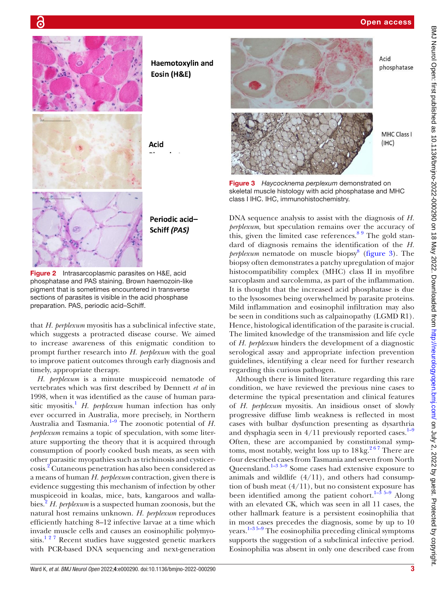





<span id="page-2-1"></span>Figure 3 *Haycocknema perplexum* demonstrated on skeletal muscle histology with acid phosphatase and MHC class I IHC. IHC, immunohistochemistry.

DNA sequence analysis to assist with the diagnosis of *H. perplexum*, but speculation remains over the accuracy of this, given the limited case references. $89$  The gold standard of diagnosis remains the identification of the *H.*  perplexum nematode on muscle biopsy<sup>[8](#page-4-3)</sup> [\(figure](#page-2-1) 3). The biopsy often demonstrates a patchy upregulation of major histocompatibility complex (MHC) class II in myofibre sarcoplasm and sarcolemma, as part of the inflammation. It is thought that the increased acid phosphatase is due to the lysosomes being overwhelmed by parasite proteins. Mild inflammation and eosinophil infiltration may also be seen in conditions such as calpainopathy (LGMD R1). Hence, histological identification of the parasite is crucial. The limited knowledge of the transmission and life cycle of *H. perplexum* hinders the development of a diagnostic serological assay and appropriate infection prevention guidelines, identifying a clear need for further research regarding this curious pathogen.



**Haemotoxylin and** 

Eosin (H&E)

Periodic acid-Schiff (PAS)

Acid

<span id="page-2-0"></span>Figure 2 Intrasarcoplasmic parasites on H&E, acid phosphatase and PAS staining. Brown haemozoin-like pigment that is sometimes encountered in transverse sections of parasites is visible in the acid phosphase preparation. PAS, periodic acid–Schiff.

that *H. perplexum* myositis has a subclinical infective state, which suggests a protracted disease course. We aimed to increase awareness of this enigmatic condition to prompt further research into *H. perplexum* with the goal to improve patient outcomes through early diagnosis and timely, appropriate therapy.

*H. perplexum* is a minute muspiceoid nematode of vertebrates which was first described by Dennett *et al* in 1998, when it was identified as the cause of human para-sitic myositis.<sup>[1](#page-4-0)</sup> *H. perplexum* human infection has only ever occurred in Australia, more precisely, in Northern Australia and Tasmania.<sup>1-9</sup> The zoonotic potential of *H*. *perplexum* remains a topic of speculation, with some literature supporting the theory that it is acquired through consumption of poorly cooked bush meats, as seen with other parasitic myopathies such as trichinosis and cysticercosis[.2](#page-4-2) Cutaneous penetration has also been considered as a means of human *H. perplexum* contraction, given there is evidence suggesting this mechanism of infection by other muspiceoid in koalas, mice, bats, kangaroos and wallabies.[2](#page-4-2) *H. perplexum* is a suspected human zoonosis, but the natural host remains unknown. *H. perplexum* reproduces efficiently hatching 8–12 infective larvae at a time which invade muscle cells and causes an eosinophilic polymyositis.<sup>127</sup> Recent studies have suggested genetic markers with PCR-based DNA sequencing and next-generation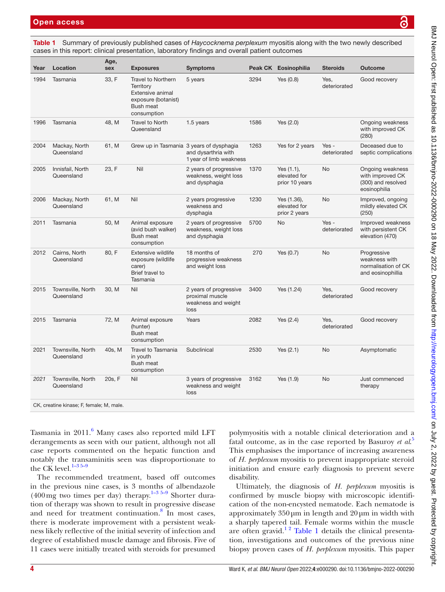<span id="page-3-0"></span>Summary of previously published cases of *Haycocknema perplexum* myositis along with the two newly described cases in this report: clinical presentation, laboratory findings and overall patient outcomes

| Year                                     | Location                        | Age,<br>sex | <b>Exposures</b>                                                                                                     | <b>Symptoms</b>                                                                            |      | Peak CK Eosinophilia                            | <b>Steroids</b>       | <b>Outcome</b>                                                             |
|------------------------------------------|---------------------------------|-------------|----------------------------------------------------------------------------------------------------------------------|--------------------------------------------------------------------------------------------|------|-------------------------------------------------|-----------------------|----------------------------------------------------------------------------|
| 1994                                     | Tasmania                        | 33, F       | <b>Travel to Northern</b><br>Territory<br>Extensive animal<br>exposure (botanist)<br><b>Bush meat</b><br>consumption | 5 years                                                                                    | 3294 | Yes $(0.8)$                                     | Yes,<br>deteriorated  | Good recovery                                                              |
| 1996                                     | Tasmania                        | 48, M       | Travel to North<br>Queensland                                                                                        | 1.5 years                                                                                  | 1586 | Yes $(2.0)$                                     |                       | Ongoing weakness<br>with improved CK<br>(280)                              |
| 2004                                     | Mackay, North<br>Queensland     | 61, M       |                                                                                                                      | Grew up in Tasmania 3 years of dysphagia<br>and dysarthria with<br>1 year of limb weakness | 1263 | Yes for 2 years                                 | Yes -<br>deteriorated | Deceased due to<br>septic complications                                    |
| 2005                                     | Innisfail, North<br>Queensland  | 23, F       | Nil                                                                                                                  | 2 years of progressive<br>weakness, weight loss<br>and dysphagia                           | 1370 | Yes $(1.1)$ ,<br>elevated for<br>prior 10 years | <b>No</b>             | Ongoing weakness<br>with improved CK<br>(300) and resolved<br>eosinophilia |
| 2006                                     | Mackay, North<br>Queensland     | 61, M       | Nil                                                                                                                  | 2 years progressive<br>weakness and<br>dysphagia                                           | 1230 | Yes (1.36),<br>elevated for<br>prior 2 years    | <b>No</b>             | Improved, ongoing<br>mildly elevated CK<br>(250)                           |
| 2011                                     | Tasmania                        | 50, M       | Animal exposure<br>(avid bush walker)<br><b>Bush meat</b><br>consumption                                             | 2 years of progressive<br>weakness, weight loss<br>and dysphagia                           | 5700 | <b>No</b>                                       | Yes-<br>deteriorated  | Improved weakness<br>with persistent CK<br>elevation (470)                 |
| 2012                                     | Cairns, North<br>Queensland     | 80, F       | Extensive wildlife<br>exposure (wildlife<br>carer)<br>Brief travel to<br>Tasmania                                    | 18 months of<br>progressive weakness<br>and weight loss                                    | 270  | Yes $(0.7)$                                     | <b>No</b>             | Progressive<br>weakness with<br>normalisation of CK<br>and eosinophillia   |
| 2015                                     | Townsville, North<br>Queensland | 30, M       | Nil                                                                                                                  | 2 years of progressive<br>proximal muscle<br>weakness and weight<br>loss                   | 3400 | Yes (1.24)                                      | Yes.<br>deteriorated  | Good recovery                                                              |
| 2015                                     | Tasmania                        | 72, M       | Animal exposure<br>(hunter)<br>Bush meat<br>consumption                                                              | Years                                                                                      | 2082 | Yes $(2.4)$                                     | Yes.<br>deteriorated  | Good recovery                                                              |
| 2021                                     | Townsville, North<br>Queensland | 40s, M      | Travel to Tasmania<br>in youth<br><b>Bush meat</b><br>consumption                                                    | Subclinical                                                                                | 2530 | Yes (2.1)                                       | <b>No</b>             | Asymptomatic                                                               |
| 2021                                     | Townsville, North<br>Queensland | 20s, F      | Nil                                                                                                                  | 3 years of progressive<br>weakness and weight<br>loss                                      | 3162 | Yes (1.9)                                       | <b>No</b>             | Just commenced<br>therapy                                                  |
| CK, creatine kinase; F, female; M, male. |                                 |             |                                                                                                                      |                                                                                            |      |                                                 |                       |                                                                            |

Tasmania in 2011.<sup>[6](#page-4-4)</sup> Many cases also reported mild LFT derangements as seen with our patient, although not all case reports commented on the hepatic function and notably the transaminitis seen was disproportionate to the CK level. $1-35-9$ 

The recommended treatment, based off outcomes in the previous nine cases, is 3 months of albendazole  $(400 \text{ mg}$  two times per day) therapy.<sup>1-3 5-9</sup> Shorter duration of therapy was shown to result in progressive disease and need for treatment continuation.<sup>[8](#page-4-3)</sup> In most cases, there is moderate improvement with a persistent weakness likely reflective of the initial severity of infection and degree of established muscle damage and fibrosis. Five of 11 cases were initially treated with steroids for presumed

polymyositis with a notable clinical deterioration and a fatal outcome, as in the case reported by Basuroy *et al*. [5](#page-4-5) This emphasises the importance of increasing awareness of *H. perplexum* myositis to prevent inappropriate steroid initiation and ensure early diagnosis to prevent severe disability.

Ultimately, the diagnosis of *H. perplexum* myositis is confirmed by muscle biopsy with microscopic identification of the non-encysted nematode. Each nematode is approximately 350μm in length and 20μm in width with a sharply tapered tail. Female worms within the muscle are often gravid.<sup>12</sup> [Table](#page-3-0) 1 details the clinical presentation, investigations and outcomes of the previous nine biopsy proven cases of *H. perplexum* myositis. This paper